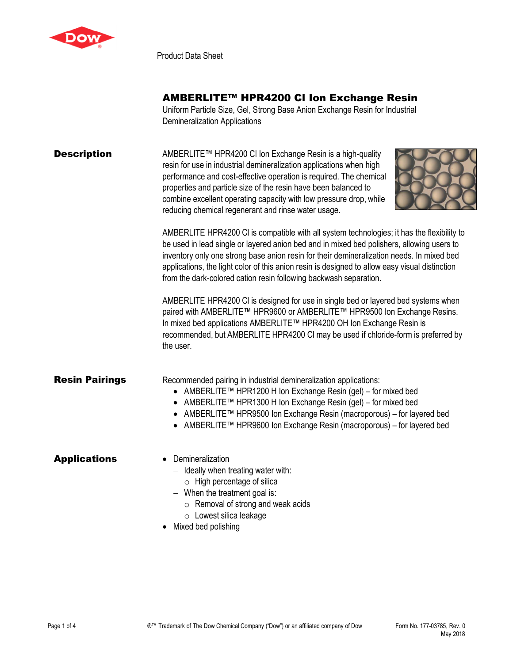

Product Data Sheet

## AMBERLITE™ HPR4200 Cl Ion Exchange Resin

Uniform Particle Size, Gel, Strong Base Anion Exchange Resin for Industrial Demineralization Applications

| <b>Description</b>    | AMBERLITE™ HPR4200 CI Ion Exchange Resin is a high-quality<br>resin for use in industrial demineralization applications when high<br>performance and cost-effective operation is required. The chemical<br>properties and particle size of the resin have been balanced to<br>combine excellent operating capacity with low pressure drop, while<br>reducing chemical regenerant and rinse water usage.                                                     |  |  |  |
|-----------------------|-------------------------------------------------------------------------------------------------------------------------------------------------------------------------------------------------------------------------------------------------------------------------------------------------------------------------------------------------------------------------------------------------------------------------------------------------------------|--|--|--|
|                       | AMBERLITE HPR4200 CI is compatible with all system technologies; it has the flexibility to<br>be used in lead single or layered anion bed and in mixed bed polishers, allowing users to<br>inventory only one strong base anion resin for their demineralization needs. In mixed bed<br>applications, the light color of this anion resin is designed to allow easy visual distinction<br>from the dark-colored cation resin following backwash separation. |  |  |  |
|                       | AMBERLITE HPR4200 CI is designed for use in single bed or layered bed systems when<br>paired with AMBERLITE™ HPR9600 or AMBERLITE™ HPR9500 Ion Exchange Resins.<br>In mixed bed applications AMBERLITE™ HPR4200 OH Ion Exchange Resin is<br>recommended, but AMBERLITE HPR4200 CI may be used if chloride-form is preferred by<br>the user.                                                                                                                 |  |  |  |
| <b>Resin Pairings</b> | Recommended pairing in industrial demineralization applications:<br>● AMBERLITE™ HPR1200 H Ion Exchange Resin (gel) – for mixed bed<br>AMBERLITE™ HPR1300 H Ion Exchange Resin (gel) – for mixed bed<br>● AMBERLITE™ HPR9500 Ion Exchange Resin (macroporous) - for layered bed<br>AMBERLITE™ HPR9600 Ion Exchange Resin (macroporous) – for layered bed                                                                                                    |  |  |  |
| <b>Applications</b>   | Demineralization<br>$-$ Ideally when treating water with:<br>$\circ$ High percentage of silica<br>$-$ When the treatment goal is:<br>$\circ$ Removal of strong and weak acids<br>o Lowest silica leakage<br>Mixed bed polishing                                                                                                                                                                                                                             |  |  |  |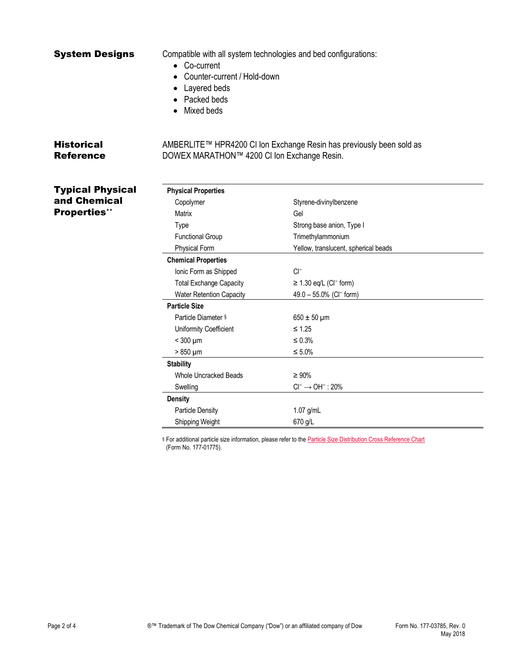| <b>System Designs</b>                 | • Co-current<br>Counter-current / Hold-down<br>Layered beds<br>Packed beds<br>Mixed beds | Compatible with all system technologies and bed configurations:      |
|---------------------------------------|------------------------------------------------------------------------------------------|----------------------------------------------------------------------|
| <b>Historical</b><br><b>Reference</b> | DOWEX MARATHON™ 4200 CI Ion Exchange Resin.                                              | AMBERLITE™ HPR4200 CI Ion Exchange Resin has previously been sold as |
| <b>Typical Physical</b>               | <b>Physical Properties</b>                                                               |                                                                      |
| and Chemical                          | Copolymer                                                                                | Styrene-divinylbenzene                                               |
| <b>Properties**</b>                   | Matrix                                                                                   | Gel                                                                  |
|                                       | Type                                                                                     | Strong base anion, Type I                                            |
|                                       | <b>Functional Group</b>                                                                  | Trimethylammonium                                                    |
|                                       | <b>Physical Form</b>                                                                     | Yellow, translucent, spherical beads                                 |
|                                       | <b>Chemical Properties</b>                                                               |                                                                      |
|                                       | Ionic Form as Shipped                                                                    | $Cl^-$                                                               |
|                                       | <b>Total Exchange Capacity</b>                                                           | $\geq$ 1.30 eq/L (CI <sup>-</sup> form)                              |
|                                       | <b>Water Retention Capacity</b>                                                          | 49.0 - 55.0% (CI <sup>-</sup> form)                                  |
|                                       | <b>Particle Size</b>                                                                     |                                                                      |
|                                       | Particle Diameter §                                                                      | $650 \pm 50 \,\mu m$                                                 |
|                                       | Uniformity Coefficient                                                                   | $≤ 1.25$                                                             |
|                                       | $<$ 300 $\mu$ m                                                                          | $\leq 0.3\%$                                                         |
|                                       | $>850 \mu m$                                                                             | $\leq 5.0\%$                                                         |
|                                       | <b>Stability</b>                                                                         |                                                                      |
|                                       | Whole Uncracked Beads                                                                    | $\geq 90\%$                                                          |
|                                       | Swelling                                                                                 | $Cl^- \rightarrow OH^-$ : 20%                                        |
|                                       | <b>Density</b>                                                                           |                                                                      |
|                                       | <b>Particle Density</b>                                                                  | 1.07 g/mL                                                            |

§ For additional particle size information, please refer to the **Particle Size Distribution Cross Reference Chart** (Form No. 177-01775).

Shipping Weight 670 g/L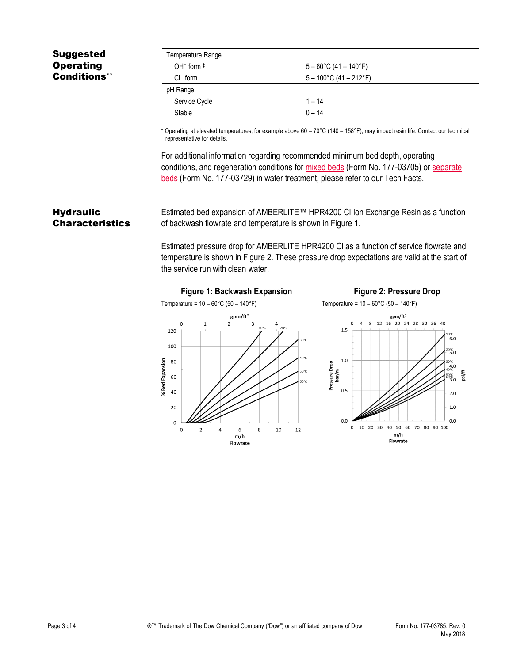## Suggested **Operating** Conditions\*\*

| Temperature Range |                                  |
|-------------------|----------------------------------|
| OH $-$ form $\pm$ | $5 - 60^{\circ}$ C (41 – 140°F)  |
| $Cl^-$ form       | $5 - 100^{\circ}$ C (41 – 212°F) |
| pH Range          |                                  |
| Service Cycle     | $1 - 14$                         |
| Stable            | $0 - 14$                         |

‡ Operating at elevated temperatures, for example above 60 – 70°C (140 – 158°F), may impact resin life. Contact our technical representative for details.

For additional information regarding recommended minimum bed depth, operating conditions, and regeneration conditions for [mixed beds](http://www.dow.com/webapps/include/GetDoc.aspx?filepath=liquidseps/pdfs/noreg/177-03705.pdf) (Form No. 177-03705) or [separate](http://www.dow.com/webapps/include/GetDoc.aspx?filepath=liquidseps/pdfs/noreg/177-03729.pdf)  [beds](http://www.dow.com/webapps/include/GetDoc.aspx?filepath=liquidseps/pdfs/noreg/177-03729.pdf) (Form No. 177-03729) in water treatment, please refer to our Tech Facts.

## **Hydraulic Characteristics**

Estimated bed expansion of AMBERLITE™ HPR4200 Cl Ion Exchange Resin as a function of backwash flowrate and temperature is shown in Figure 1.

Estimated pressure drop for AMBERLITE HPR4200 Cl as a function of service flowrate and temperature is shown in Figure 2. These pressure drop expectations are valid at the start of the service run with clean water.